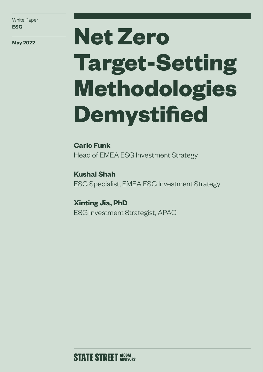White Paper **ESG**

# **May 2022 Net Zero Target-Setting Methodologies Demystified**

**Carlo Funk** Head of EMEA ESG Investment Strategy

**Kushal Shah** ESG Specialist, EMEA ESG Investment Strategy

**Xinting Jia, PhD** ESG Investment Strategist, APAC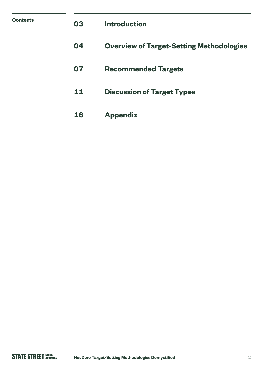| <b>Contents</b> | 03 | <b>Introduction</b>                             |
|-----------------|----|-------------------------------------------------|
|                 | 04 | <b>Overview of Target-Setting Methodologies</b> |
|                 | 07 | <b>Recommended Targets</b>                      |
|                 | 11 | <b>Discussion of Target Types</b>               |
|                 | 16 | <b>Appendix</b>                                 |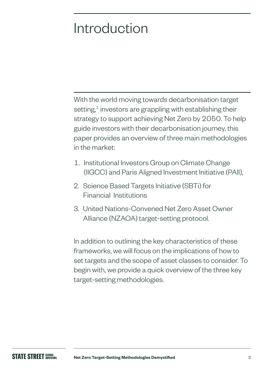# Introduction

With the world moving towards decarbonisation target setting, $<sup>1</sup>$  investors are grappling with establishing their</sup> strategy to support achieving Net Zero by 2050. To help guide investors with their decarbonisation journey, this paper provides an overview of three main methodologies in the market:

- 1. Institutional Investors Group on Climate Change (IIGCC) and Paris Aligned Investment Initiative (PAII),
- 2. Science Based Targets Initiative (SBTi) for Financial Institutions
- 3. United Nations-Convened Net Zero Asset Owner Alliance (NZAOA) target-setting protocol.

In addition to outlining the key characteristics of these frameworks, we will focus on the implications of how to set targets and the scope of asset classes to consider. To begin with, we provide a quick overview of the three key target-setting methodologies.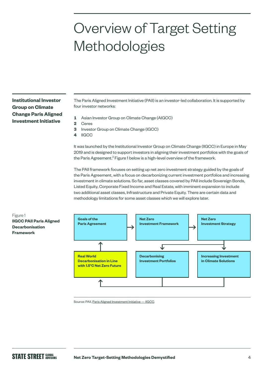# Overview of Target Setting Methodologies

**Institutional Investor Group on Climate Change Paris Aligned Investment Initiative**

The Paris Aligned Investment Initiative (PAII) is an investor-led collaboration. It is supported by four investor networks:

- **1** Asian Investor Group on Climate Change (AIGCC)
- **2** Ceres
- **3** Investor Group on Climate Change (IGCC)
- **4** IIGCC

It was launched by the Institutional Investor Group on Climate Change (IIGCC) in Europe in May 2019 and is designed to support investors in aligning their investment portfolios with the goals of the Paris Agreement.<sup>2</sup> Figure 1 below is a high-level overview of the framework.

The PAII framework focuses on setting up net zero investment strategy guided by the goals of the Paris Agreement, with a focus on decarbonizing current investment portfolios and increasing investment in climate solutions. So far, asset classes covered by PAII include Sovereign Bonds, Listed Equity, Corporate Fixed Income and Real Estate, with imminent expansion to include two additional asset classes, Infrastructure and Private Equity. There are certain data and methodology limitations for some asset classes which we will explore later.



Source: PAII, [Paris Aligned Investment Initiative — IIGCC](https://www.iigcc.org/our-work/paris-aligned-investment-initiative/).

Figure 1 **IIGCC PAII Paris Aligned Decarbonisation Framework**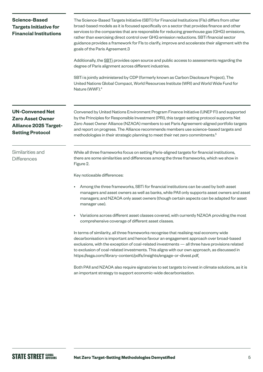| <b>Science-Based</b><br><b>Targets Initiative for</b><br><b>Financial Institutions</b>                       | The Science-Based Targets Initiative (SBTi) for Financial Institutions (Fls) differs from other<br>broad-based models as it is focused specifically on a sector that provides finance and other<br>services to the companies that are responsible for reducing greenhouse gas (GHG) emissions,<br>rather than exercising direct control over GHG emission reductions. SBTi financial sector<br>guidance provides a framework for Fls to clarify, improve and accelerate their alignment with the<br>goals of the Paris Agreement.3 |  |  |  |  |
|--------------------------------------------------------------------------------------------------------------|------------------------------------------------------------------------------------------------------------------------------------------------------------------------------------------------------------------------------------------------------------------------------------------------------------------------------------------------------------------------------------------------------------------------------------------------------------------------------------------------------------------------------------|--|--|--|--|
|                                                                                                              | Additionally, the SBTi provides open source and public access to assessments regarding the<br>degree of Paris alignment across different industries.                                                                                                                                                                                                                                                                                                                                                                               |  |  |  |  |
|                                                                                                              | SBTi is jointly administered by CDP (formerly known as Carbon Disclosure Project), The<br>United Nations Global Compact, World Resources Institute (WRI) and World Wide Fund for<br>Nature (WWF). <sup>4</sup>                                                                                                                                                                                                                                                                                                                     |  |  |  |  |
| <b>UN-Convened Net</b><br><b>Zero Asset Owner</b><br><b>Alliance 2025 Target-</b><br><b>Setting Protocol</b> | Convened by United Nations Environment Program Finance Initiative (UNEP FI) and supported<br>by the Principles for Responsible Investment (PRI), this target-setting protocol supports Net<br>Zero Asset Owner Alliance (NZAOA) members to set Paris Agreement-aligned portfolio targets<br>and report on progress. The Alliance recommends members use science-based targets and<br>methodologies in their strategic planning to meet their net zero commitments. <sup>5</sup>                                                    |  |  |  |  |
| Similarities and<br><b>Differences</b>                                                                       | While all three frameworks focus on setting Paris-aligned targets for financial institutions,<br>there are some similarities and differences among the three frameworks, which we show in<br>Figure 2.                                                                                                                                                                                                                                                                                                                             |  |  |  |  |
|                                                                                                              | Key noticeable differences:                                                                                                                                                                                                                                                                                                                                                                                                                                                                                                        |  |  |  |  |
|                                                                                                              | Among the three frameworks, SBTi for financial institutions can be used by both asset<br>managers and asset owners as well as banks, while PAII only supports asset owners and asset<br>managers; and NZAOA only asset owners (though certain aspects can be adapted for asset<br>manager use).                                                                                                                                                                                                                                    |  |  |  |  |
|                                                                                                              | Variations across different asset classes covered, with currently NZAOA providing the most<br>comprehensive coverage of different asset classes.                                                                                                                                                                                                                                                                                                                                                                                   |  |  |  |  |
|                                                                                                              | In terms of similarity, all three frameworks recognise that realising real economy wide<br>decarbonisation is important and hence favour an engagement approach over broad-based<br>exclusions, with the exception of coal-related investments - all three have provisions related<br>to exclusion of coal-related investments. This aligns with our own approach, as discussed in<br>https://ssga.com/library-content/pdfs/insights/engage-or-divest.pdf.                                                                         |  |  |  |  |
|                                                                                                              | Both PAII and NZAOA also require signatories to set targets to invest in climate solutions, as it is<br>an important strategy to support economic-wide decarbonisation.                                                                                                                                                                                                                                                                                                                                                            |  |  |  |  |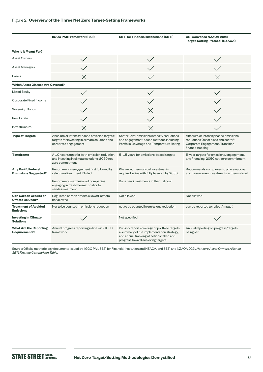#### Figure 2 **Overview of the Three Net Zero Target-Setting Frameworks**

|                                                            | <b>IIGCC PAII Framework (PAII)</b>                                                                                                                                          | <b>SBTi for Financial Institutions (SBTi)</b>                                                                                                                                | <b>UN-Convened NZAOA 2025</b><br><b>Target-Setting Protocol (NZAOA)</b>                                                               |  |
|------------------------------------------------------------|-----------------------------------------------------------------------------------------------------------------------------------------------------------------------------|------------------------------------------------------------------------------------------------------------------------------------------------------------------------------|---------------------------------------------------------------------------------------------------------------------------------------|--|
| Who Is It Meant For?                                       |                                                                                                                                                                             |                                                                                                                                                                              |                                                                                                                                       |  |
| <b>Asset Owners</b>                                        |                                                                                                                                                                             |                                                                                                                                                                              |                                                                                                                                       |  |
| <b>Asset Managers</b>                                      |                                                                                                                                                                             |                                                                                                                                                                              |                                                                                                                                       |  |
| <b>Banks</b>                                               | $\times$                                                                                                                                                                    |                                                                                                                                                                              | $\times$                                                                                                                              |  |
| <b>Which Asset Classes Are Covered?</b>                    |                                                                                                                                                                             |                                                                                                                                                                              |                                                                                                                                       |  |
| <b>Listed Equity</b>                                       |                                                                                                                                                                             |                                                                                                                                                                              |                                                                                                                                       |  |
| Corporate Fixed Income                                     |                                                                                                                                                                             |                                                                                                                                                                              |                                                                                                                                       |  |
| Sovereign Bonds                                            |                                                                                                                                                                             | $\times$                                                                                                                                                                     |                                                                                                                                       |  |
| <b>Real Estate</b>                                         |                                                                                                                                                                             |                                                                                                                                                                              |                                                                                                                                       |  |
| Infrastructure                                             | $\times$                                                                                                                                                                    | $\times$                                                                                                                                                                     |                                                                                                                                       |  |
| <b>Type of Targets</b>                                     | Absolute or intensity based emission targets;<br>targets for investing in climate solutions and<br>corporate engagement                                                     | Sector-level emissions intensity reductions<br>and engagement-based methods including<br>Portfolio Coverage and Temperature Rating                                           | Absolute or Intensity based emissions<br>reductions (asset class and sector),<br>Corporate Engagement, Transition<br>finance tracking |  |
| <b>Timeframe</b>                                           | A 10-year target for both emission reduction<br>and investing in climate solutions; 2050 net<br>zero commitment                                                             | 5-15 years for emissions-based targets                                                                                                                                       | 5-year targets for emissions, engagement,<br>and financing; 2050 net-zero commitment                                                  |  |
| <b>Any Portfolio-level</b><br><b>Exclusions Suggested?</b> | Recommends engagement first followed by<br>selective divestment if failed<br>Recommends exclusion of companies<br>engaging in fresh thermal coal or tar<br>sands investment | Phase out thermal coal investments<br>required in line with full phaseout by 2030;<br>Bans new investments in thermal coal                                                   | Recommends companies to phase out coal<br>and have no new investments in thermal coal                                                 |  |
| <b>Can Carbon Credits or</b><br><b>Offsets Be Used?</b>    | Regulated carbon credits allowed, offsets<br>not allowed                                                                                                                    | Not allowed                                                                                                                                                                  | Not allowed                                                                                                                           |  |
| <b>Treatment of Avoided</b><br><b>Emissions</b>            | Not to be counted in emissions reduction                                                                                                                                    | not to be counted in emissions reduction                                                                                                                                     | can be reported to reflect 'impact'                                                                                                   |  |
| <b>Investing in Climate</b><br><b>Solutions</b>            |                                                                                                                                                                             | Not specified                                                                                                                                                                |                                                                                                                                       |  |
| <b>What Are the Reporting</b><br><b>Requirements?</b>      | Annual progress reporting in line with TCFD<br>framework                                                                                                                    | Publicly report coverage of portfolio targets,<br>a summary of the implementation strategy,<br>and annual tracking of actions taken and<br>progress toward achieving targets | Annual reporting on progress/targets<br>being set                                                                                     |  |

Source: Official methodology documents issued by IIGCC PAII, SBTi for Financial Institution and NZAOA, and SBTi and NZAOA 2021, *Net-zero Asset Owners Alliance — SBTi Finance Comparison Table*.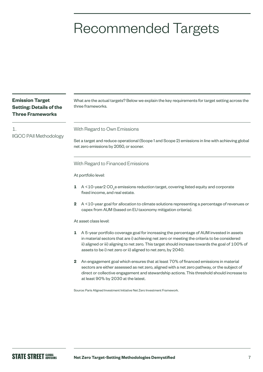# Recommended Targets

| <b>Emission Target</b><br><b>Setting: Details of the</b><br><b>Three Frameworks</b>                                                | What are the actual targets? Below we explain the key requirements for target setting across the<br>three frameworks.                                                                                                                                                                                                                                              |  |  |  |  |
|------------------------------------------------------------------------------------------------------------------------------------|--------------------------------------------------------------------------------------------------------------------------------------------------------------------------------------------------------------------------------------------------------------------------------------------------------------------------------------------------------------------|--|--|--|--|
| 1.                                                                                                                                 | With Regard to Own Emissions                                                                                                                                                                                                                                                                                                                                       |  |  |  |  |
| <b>IIGCC PAII Methodology</b>                                                                                                      | Set a target and reduce operational (Scope 1 and Scope 2) emissions in line with achieving global<br>net zero emissions by 2050, or sooner.                                                                                                                                                                                                                        |  |  |  |  |
|                                                                                                                                    | With Regard to Financed Emissions                                                                                                                                                                                                                                                                                                                                  |  |  |  |  |
|                                                                                                                                    | At portfolio level:                                                                                                                                                                                                                                                                                                                                                |  |  |  |  |
| $A < 10$ -year $2CO_{e}$ e emissions reduction target, covering listed equity and corporate<br>1<br>fixed income, and real estate. |                                                                                                                                                                                                                                                                                                                                                                    |  |  |  |  |
|                                                                                                                                    | A <10-year goal for allocation to climate solutions representing a percentage of revenues or<br>$\mathbf{2}$<br>capex from AUM (based on EU taxonomy mitigation criteria).                                                                                                                                                                                         |  |  |  |  |
|                                                                                                                                    | At asset class level:                                                                                                                                                                                                                                                                                                                                              |  |  |  |  |
|                                                                                                                                    | 1<br>A 5-year portfolio coverage goal for increasing the percentage of AUM invested in assets<br>in material sectors that are i) achieving net zero or meeting the criteria to be considered<br>ii) aligned or iii) aligning to net zero. This target should increase towards the goal of 100% of<br>assets to be i) net zero or ii) aligned to net zero, by 2040. |  |  |  |  |
|                                                                                                                                    | $\mathbf 2$<br>An engagement goal which ensures that at least 70% of financed emissions in material<br>sectors are either assessed as net zero, aligned with a net zero pathway, or the subject of<br>direct or collective engagement and stewardship actions. This threshold should increase to<br>at least 90% by 2030 at the latest.                            |  |  |  |  |
|                                                                                                                                    | Source: Paris Aligned Investment Initiative Net Zero Investment Framework.                                                                                                                                                                                                                                                                                         |  |  |  |  |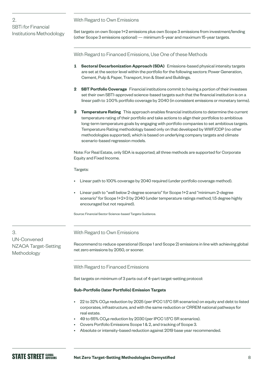With Regard to Own Emissions

Set targets on own Scope 1+2 emissions plus own Scope 3 emissions from investment/lending (other Scope 3 emissions optional) — minimum 5-year and maximum 15-year targets.

With Regard to Financed Emissions, Use One of these Methods

- **1 Sectoral Decarbonization Approach (SDA)** Emissions-based physical intensity targets are set at the sector level within the portfolio for the following sectors: Power Generation, Cement, Pulp & Paper, Transport, Iron & Steel and Buildings.
- **2 SBT Portfolio Coverage** Financial institutions commit to having a portion of their investees set their own SBTI-approved science-based targets such that the financial institution is on a linear path to 100% portfolio coverage by 2040 (in consistent emissions or monetary terms).
- **3 Temperature Rating** This approach enables financial institutions to determine the current temperature rating of their portfolio and take actions to align their portfolios to ambitious long-term temperature goals by engaging with portfolio companies to set ambitious targets. Temperature Rating methodology based only on that developed by WWF/CDP (no other methodologies supported), which is based on underlying company targets and climate scenario-based regression models.

Note: For Real Estate, only SDA is supported; all three methods are supported for Corporate Equity and Fixed Income.

Targets:

- Linear path to 100% coverage by 2040 required (under portfolio coverage method).
- Linear path to "well below 2-degree scenario" for Scope 1+2 and "minimum 2-degree scenario" for Scope 1+2+3 by 2040 (under temperature ratings method; 1.5 degree highly encouraged but not required).

Source: Financial Sector Science-based Targets Guidance.

# With Regard to Own Emissions

Recommend to reduce operational (Scope 1 and Scope 2) emissions in line with achieving global net zero emissions by 2050, or sooner.

With Regard to Financed Emissions

Set targets on minimum of 3 parts out of 4-part target-setting protocol:

### **Sub-Portfolio (later Portfolio) Emission Targets**

- 22 to 32% CO2e reduction by 2025 (per IPCC 1.5°C SR scenarios) on equity and debt to listed corporates, infrastructure, and with the same reduction or CRREM national pathways for real estate.
- $\cdot$  49 to 65% CO<sub>2</sub>e reduction by 2030 (per IPCC 1.5°C SR scenarios).
- Covers Portfolio Emissions Scope 1 & 2, and tracking of Scope 3.
- Absolute or intensity-based reduction against 2019 base year recommended.

3. UN-Convened NZAOA Target-Setting Methodology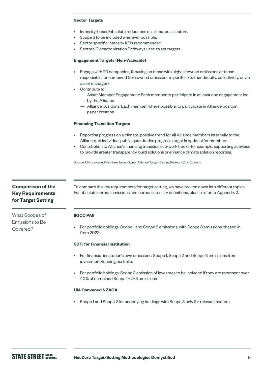#### **Sector Targets**

- Intensity-based/absolute reductions on all material sectors.
- Scope 3 to be included wherever possible.
- Sector specific intensity KPIs recommended.
- Sectoral Decarbonization Pathways used to set targets.

#### **Engagement Targets (Non-Waivable)**

- Engage with 20 companies, focusing on those with highest owned emissions or those responsible for combined 65% owned emissions in portfolio (either directly, collectively, or via asset manager).
- Contribute to:
	- Asset Manager Engagement: Each member to participate in at least one engagement led by the Alliance
	- Alliance positions: Each member, where possible, to participate in Alliance position paper creation

#### **Financing Transition Targets**

- Reporting progress on a climate-positive trend for all Alliance members internally to the Alliance; an individual public quantitative progress target is optional for members.
- Contribution to Alliance's financing transition sub-work tracks, for example, supporting activities to provide greater transparency, build solutions or enhance climate solution reporting.

Source: UN-convened Net-Zero Asset Owner Alliance Target-Setting Protocol (2nd Edition).

# **Comparison of the Key Requirements for Target Setting**

What Scopes of Emissions to Be Covered?

To compare the key requirements for target setting, we have broken down into different topics. For absolute carbon emissions and carbon intensity definitions, please refer to Appendix 2.

#### **IIGCC PAII**

• For portfolio holdings: Scope 1 and Scope 2 emissions, with Scope 3 emissions phased in from 2023.

#### **SBTi for Financial Institution**

- For financial institution's own emissions: Scope 1, Scope 2 and Scope 3 emissions from investment/lending portfolio.
- For portfolio holdings: Scope 3 emission of investees to be included if they are represent over 40% of combined Scope 1+2+3 emissions

#### **UN-Convened NZAOA**

• Scope 1 and Scope 2 for underlying holdings with Scope 3 only for relevant sectors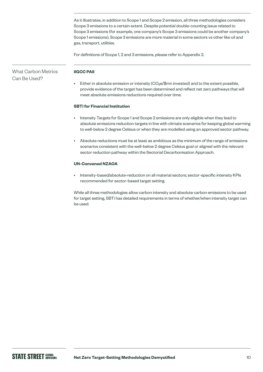As it illustrates, in addition to Scope 1 and Scope 2 emission, all three methodologies considers Scope 3 emissions to a certain extent. Despite potential double-counting issue related to Scope 3 emissions (for example, one company's Scope 3 emissions could be another company's Scope 1 emissions), Scope 3 emissions are more material in some sectors vs other like oil and gas, transport, utilities.

For definitions of Scope 1, 2 and 3 emissions, please refer to Appendix 2.

# What Carbon Metrics Can Bellsed?

#### **IIGCC PAII**

Either in absolute emission or intensity ( $CO<sub>2</sub>e/\$m$ n invested) and to the extent possible, provide evidence of the target has been determined and reflect net zero pathways that will meet absolute emissions reductions required over time.

### **SBTi for Financial Institution**

- Intensity Targets for Scope 1 and Scope 2 emissions are only eligible when they lead to absolute emissions reduction targets in line with climate scenarios for keeping global warming to well-below 2 degree Celsius or when they are modelled using an approved sector pathway.
- Absolute reductions must be at least as ambitious as the minimum of the range of emissions scenarios consistent with the well-below 2 degree Celsius goal or aligned with the relevant sector reduction pathway within the Sectorial Decarbonisation Approach.

### **UN-Convened NZAOA**

• Intensity-based/absolute-reduction on all material sectors; sector-specific intensity KPIs recommended for sector-based target setting.

While all three methodologies allow carbon intensity and absolute carbon emissions to be used for target setting, SBTi has detailed requirements in terms of whether/when intensity target can be used.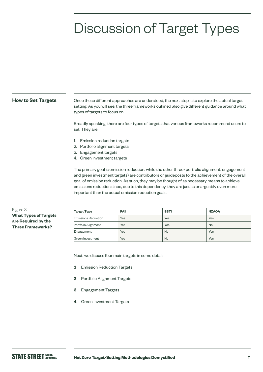# Discussion of Target Types

#### **How to Set Targets**

Once these different approaches are understood, the next step is to explore the actual target setting. As you will see, the three frameworks outlined also give different guidance around what types of targets to focus on.

Broadly speaking, there are four types of targets that various frameworks recommend users to set. They are:

- 1. Emission reduction targets
- 2. Portfolio alignment targets
- 3. Engagement targets
- 4. Green investment targets

The primary goal is emission reduction, while the other three (portfolio alignment, engagement and green investment targets) are contributors or guideposts to the achievement of the overall goal of emission reduction. As such, they may be thought of as necessary means to achieve emissions reduction since, due to this dependency, they are just as or arguably even more important than the actual emission reduction goals.

### Figure 3 **What Types of Targets are Required by the Three Frameworks?**

| <b>Target Type</b>         | <b>PAII</b> | <b>SBTI</b> | <b>NZAOA</b> |  |  |  |
|----------------------------|-------------|-------------|--------------|--|--|--|
| <b>Emissions Reduction</b> | Yes         | Yes         | Yes          |  |  |  |
| Portfolio Alignment        | Yes         | Yes         | <b>No</b>    |  |  |  |
| Engagement                 | Yes         | <b>No</b>   | Yes          |  |  |  |
| Green Investment           | Yes         | <b>No</b>   | Yes          |  |  |  |

Next, we discuss four main targets in some detail:

- **1** Emission Reduction Targets
- **2** Portfolio Alignment Targets
- **3** Engagement Targets
- **4** Green Investment Targets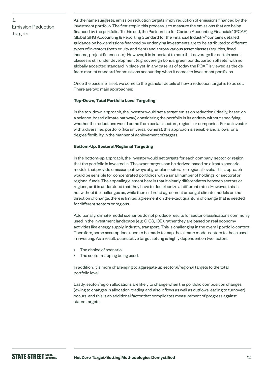# 1. Emission Reduction **Targets**

As the name suggests, emission reduction targets imply reduction of emissions financed by the investment portfolio. The first step in this process is to measure the emissions that are being financed by the portfolio. To this end, the Partnership for Carbon Accounting Financials' (PCAF) Global GHG Accounting & Reporting Standard for the Financial Industry<sup>6</sup> contains detailed guidance on how emissions financed by underlying investments are to be attributed to different types of investors (both equity and debt) and across various asset classes (equities, fixed income, project finance, etc). However, it is important to note that coverage for certain asset classes is still under development (e.g. sovereign bonds, green bonds, carbon offsets) with no globally accepted standard in place yet. In any case, as of today the PCAF is viewed as the de facto market standard for emissions accounting when it comes to investment portfolios.

Once the baseline is set, we come to the granular details of how a reduction target is to be set. There are two main approaches:

#### **Top-Down, Total Portfolio Level Targeting**

In the top-down approach, the investor would set a target emission reduction (ideally, based on a science-based climate pathway) considering the portfolio in its entirety without specifying whether the reductions would come from certain sectors, regions or companies. For an investor with a diversified portfolio (like universal owners), this approach is sensible and allows for a degree flexibility in the manner of achievement of targets.

#### **Bottom-Up, Sectoral/Regional Targeting**

In the bottom-up approach, the investor would set targets for each company, sector, or region that the portfolio is invested in. The exact targets can be derived based on climate scenario models that provide emission pathways at granular sectoral or regional levels. This approach would be sensible for concentrated portfolios with a small number of holdings, or sectoral or regional funds. The appealing element here is that it clearly differentiates between sectors or regions, as it is understood that they have to decarbonize at different rates. However, this is not without its challenges as, while there is broad agreement amongst climate models on the direction of change, there is limited agreement on the exact quantum of change that is needed for different sectors or regions.

Additionally, climate model scenarios do not produce results for sector classifications commonly used in the investment landscape (e.g. GICS, ICB), rather they are based on real economy activities like energy supply, industry, transport. This is challenging in the overall portfolio context. Therefore, some assumptions need to be made to map the climate model sectors to those used in investing. As a result, quantitative target setting is highly dependent on two factors:

- The choice of scenario.
- The sector mapping being used.

In addition, it is more challenging to aggregate up sectoral/regional targets to the total portfolio level.

Lastly, sector/region allocations are likely to change when the portfolio composition changes (owing to changes in allocation, trading and also inflows as well as outflows leading to turnover) occurs, and this is an additional factor that complicates measurement of progress against stated targets.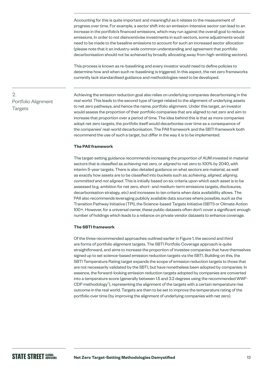Accounting for this is quite important and meaningful as it relates to the measurement of progress over time. For example, a sector shift into an emission-intensive sector can lead to an increase in the portfolio's financed emissions, which may run against the overall goal to reduce emissions. In order to not disincentivise investments in such sectors, some adjustments would need to be made to the baseline emissions to account for such an increased sector allocation (please note that it an industry-wide common understanding and agreement that portfolio decarbonisation should not be achieved by broadly allocating away from high-emitting sectors).

This process is known as re-baselining and every investor would need to define policies to determine how and when such re-baselining is triggered. In this aspect, the net zero frameworks currently lack standardised guidance and methodologies need to be developed.

# 2. Portfolio Alignment **Targets**

Achieving the emission reduction goal also relies on underlying companies decarbonising in the real world. This leads to the second type of target related to the alignment of underlying assets to net zero pathways, and hence the name, portfolio alignment. Under this target, an investor would assess the proportion of their portfolio companies that are aligned to net zero and aim to increase that proportion over a period of time. The idea behind this is that as more companies adopt net zero targets, the portfolio itself would decarbonise over time as a consequence of the companies' real-world decarbonisation. The PAII framework and the SBTI framework both recommend the use of such a target, but differ in the way it is to be implemented.

#### **The PAII framework**

The target-setting guidance recommends increasing the proportion of AUM invested in material sectors that is classified as *achieving* net zero, or *aligned* to net zero to 100% by 2040, with interim 5-year targets. There is also detailed guidance on what sectors are material, as well as exactly how assets are to be classified into buckets such as: *achieving, aligned, aligning, committed* and *not aligned*. This is initially based on six criteria upon which each asset is to be assessed (e.g. ambition for net zero, short- and medium-term emissions targets, disclosures, decarbonisation strategy, etc) and increases to ten criteria when data availability allows. The PAII also recommends leveraging publicly available data sources where possible, such as the Transition Pathway Initiative (TPI), the Science-based Targets Initiative (SBTI) or Climate Action 100+. However, for a universal owner, these public datasets often don't cover a significant enough number of holdings which leads to a reliance on private vendor datasets to enhance coverage.

#### **The SBTI framework**

Of the three recommended approaches outlined earlier in Figure 1, the second and third are forms of portfolio alignment targets. The SBTI Portfolio Coverage approach is quite straightforward, and aims to increase the proportion of investee companies that have themselves signed up to set science-based emission reduction targets via the SBTI. Building on this, the SBTI Temperature Rating target expands the scope of emission reduction targets to those that are not necessarily validated by the SBTI, but have nonetheless been adopted by companies. In essence, the forward-looking emission reduction targets adopted by companies are converted into a temperature score (generally between 1.5 and 3.2 degrees using the recommended WWF-CDP methodology<sup>7</sup>), representing the alignment of the targets with a certain temperature rise outcome in the real world. Targets are then to be set to improve the temperature rating of the portfolio over time (by improving the alignment of underlying companies with net zero).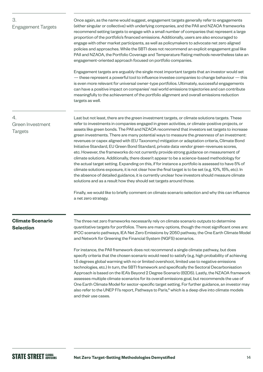# 3. Engagement Targets

Once again, as the name would suggest, engagement targets generally refer to engagements (either singular or collective) with underlying companies, and the PAII and NZAOA frameworks recommend setting targets to engage with a small number of companies that represent a large proportion of the portfolio's financed emissions. Additionally, users are also encouraged to engage with other market participants, as well as policymakers to advocate net zero aligned policies and approaches. While the SBTI does not recommend an explicit engagement goal like PAII and NZAOA, the Portfolio Coverage and Temperature Rating methods nevertheless take an engagement-oriented approach focused on portfolio companies.

Engagement targets are arguably the single most important targets that an investor would set — these represent a powerful tool to influence investee companies to change behaviour — this is even more relevant for universal owner-type portfolios. Ultimately, successful engagements can have a positive impact on companies' real world emissions trajectories and can contribute meaningfully to the achievement of the portfolio alignment and overall emissions reduction targets as well.

# 4. Green Investment **Targets**

Last but not least, there are the green investment targets, or climate solutions targets. These refer to investments in companies engaged in green activities, or climate-positive projects, or assets like green bonds. The PAII and NZAOA recommend that investors set targets to increase green investments. There are many potential ways to measure the *greenness* of an investment: revenues or capex aligned with (EU Taxonomy) mitigation or adaptation criteria, Climate Bond Initiative Standard, EU Green Bond Standard, private data vendor green-revenues scores, etc. However, the frameworks do not currently provide strong guidance on measurement of climate solutions. Additionally, there doesn't appear to be a science-based methodology for the actual target setting. Expanding on this, if for instance a portfolio is assessed to have 5% of climate solutions exposure, it is not clear how the final target is to be set (e.g. 10%, 15%, etc). In the absence of detailed guidance, it is currently unclear how investors should measure climate solutions and as a result how they should set targets around those.

Finally, we would like to briefly comment on climate scenario selection and why this can influence a net zero strategy.

# **Climate Scenario Selection**

The three net zero frameworks necessarily rely on climate scenario outputs to determine quantitative targets for portfolios. There are many options, though the most significant ones are: IPCC scenario pathways, IEA Net Zero Emissions by 2050 pathway, the One Earth Climate Model and Network for Greening the Financial System (NGFS) scenarios.

For instance, the PAII framework does not recommend a single climate pathway, but does specify criteria that the chosen scenario would need to satisfy (e.g. high probability of achieving 1.5 degrees global warming with no or limited overshoot, limited use to negative emissions technologies, etc.) In turn, the SBTI framework and specifically the Sectoral Decarbonisation Approach is based on the IEA's Beyond 2 Degree Scenario (B2DS). Lastly, the NZAOA framework assesses multiple climate scenarios for its overall emissions goal, but recommends the use of One Earth Climate Model for sector-specific target setting. For further guidance, an investor may also refer to the UNEP FI's report, Pathways to Paris,<sup>8</sup> which is a deep dive into climate models and their use cases.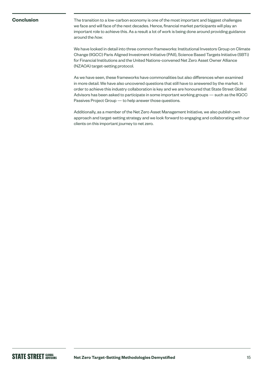### **Conclusion**

The transition to a low-carbon economy is one of the most important and biggest challenges we face and will face of the next decades. Hence, financial market participants will play an important role to achieve this. As a result a lot of work is being done around providing guidance around the *how*.

We have looked in detail into three common frameworks: Institutional Investors Group on Climate Change (IIGCC) Paris Aligned Investment Initiative (PAII), Science Based Targets Initiative (SBTi) for Financial Institutions and the United Nations-convened Net Zero Asset Owner Alliance (NZAOA) target-setting protocol.

As we have seen, these frameworks have commonalities but also differences when examined in more detail. We have also uncovered questions that still have to answered by the market. In order to achieve this industry collaboration is key and we are honoured that State Street Global Advisors has been asked to participate in some important working groups — such as the IIGCC Passives Project Group — to help answer those questions.

Additionally, as a member of the Net Zero Asset Management Initiative, we also publish own approach and target-setting strategy and we look forward to engaging and collaborating with our clients on this important journey to net zero.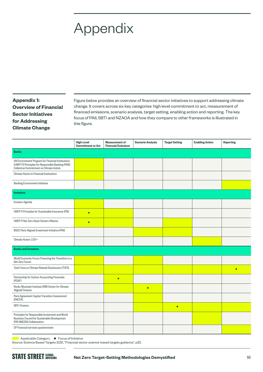# Appendix

# **Appendix 1: Overview of Financial Sector Initiatives for Addressing Climate Change**

Figure below provides an overview of financial sector initiatives to support addressing climate change. It covers across six key categories: high level commitment to act, measurement of financed emissions, scenario analysis, target setting, enabling action and reporting. The key focus of PAII, SBTi and NZAOA and how they compare to other frameworks is illustrated in this figure.

|                                                                                                                                                     | <b>High-Level</b><br><b>Commitment to Act</b> | <b>Measurement of</b><br><b>Financial Emissions</b> | <b>Scenario Analysis</b> | <b>Target Setting</b> | <b>Enabling Action</b> | <b>Reporting</b> |
|-----------------------------------------------------------------------------------------------------------------------------------------------------|-----------------------------------------------|-----------------------------------------------------|--------------------------|-----------------------|------------------------|------------------|
| <b>Banks</b>                                                                                                                                        |                                               |                                                     |                          |                       |                        |                  |
| UN Environment Program for Financial Institutions<br>(UNEP FI) Principles for Responsible Banking (PAB):<br>Collective Commitment on Climate Action |                                               |                                                     |                          |                       |                        |                  |
| Climate Action in Financial Institutions                                                                                                            |                                               |                                                     |                          |                       |                        |                  |
| <b>Banking Environment Initiative</b>                                                                                                               |                                               |                                                     |                          |                       |                        |                  |
| <b>Investors</b>                                                                                                                                    |                                               |                                                     |                          |                       |                        |                  |
| <b>Investor Agenda</b>                                                                                                                              |                                               |                                                     |                          |                       |                        |                  |
| UNEP FI Principles for Sustainable Insurance (PSI)                                                                                                  | $\bullet$                                     |                                                     |                          |                       |                        |                  |
| <b>UNEP FI Net Zero Asset Owners Alliance</b>                                                                                                       | $\bullet$                                     |                                                     |                          |                       |                        |                  |
| IIGCC Paris Aligned Investment Initiative (PAII)                                                                                                    |                                               |                                                     |                          |                       |                        |                  |
| Climate Action 100+                                                                                                                                 |                                               |                                                     |                          |                       |                        |                  |
| <b>Banks and Investors</b>                                                                                                                          |                                               |                                                     |                          |                       |                        |                  |
| World Economic Forum Financing the Transition to a<br>Net Zero Future                                                                               |                                               |                                                     |                          |                       |                        |                  |
| Task Force on Climate Related Disclosures (TCFD)                                                                                                    |                                               |                                                     |                          |                       |                        | $\bullet$        |
| Partnership for Carbon Accounting Financials<br>(PCAF)                                                                                              |                                               | $\bullet$                                           |                          |                       |                        |                  |
| Rocky Mountain Institute (RM) Center for Climate<br>Aligned Finance                                                                                 |                                               |                                                     | $\bullet$                |                       |                        |                  |
| Paris Agreement Capital Transition Assessment<br>(PACTA)                                                                                            |                                               |                                                     |                          |                       |                        |                  |
| SBTi-Finance                                                                                                                                        |                                               |                                                     |                          | $\bullet$             |                        |                  |
| Principles for Responsible Investment and World<br><b>Business Council for Sustainable Development</b><br>(PRI-WBCSD) Collaboration                 |                                               |                                                     |                          |                       |                        |                  |
| CP Financial services questionnaire                                                                                                                 |                                               |                                                     |                          |                       |                        |                  |

■ Applicable Category ● Focus of Initiative

Source: Science Based Targets 2021, "Financial sector science-based targets guidance", p22.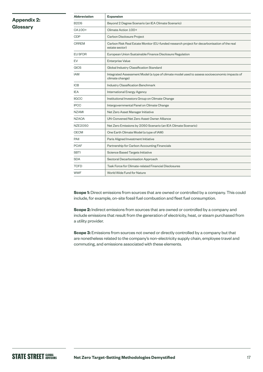# **Appendix 2: Glossary**

| <b>Abbreviation</b>           | <b>Expansion</b>                                                                                                |
|-------------------------------|-----------------------------------------------------------------------------------------------------------------|
| B <sub>2</sub> D <sub>S</sub> | Beyond 2 Degree Scenario (an IEA Climate Scenario)                                                              |
| CA100+                        | Climate Action 100+                                                                                             |
| CDP                           | Carbon Disclosure Project                                                                                       |
| <b>CRREM</b>                  | Carbon Risk Real Estate Monitor (EU-funded research project for decarbonisation of the real<br>estate sector)   |
| <b>EU SFDR</b>                | European Union Sustainable Finance Disclosure Regulation                                                        |
| EV                            | <b>Enterprise Value</b>                                                                                         |
| <b>GICS</b>                   | Global Industry Classification Standard                                                                         |
| <b>IAM</b>                    | Integrated Assessment Model (a type of climate model used to assess socioeconomic impacts of<br>climate change) |
| <b>ICB</b>                    | Industry Classification Benchmark                                                                               |
| <b>IEA</b>                    | <b>International Energy Agency</b>                                                                              |
| <b>IIGCC</b>                  | Institutional Investors Group on Climate Change                                                                 |
| <b>IPCC</b>                   | Intergovernmental Panel on Climate Change                                                                       |
| <b>NZAMI</b>                  | Net Zero Asset Manager Initiative                                                                               |
| <b>NZAOA</b>                  | UN-Convened Net Zero Asset Owner Alliance                                                                       |
| <b>NZE2050</b>                | Net Zero Emissions by 2050 Scenario (an IEA Climate Scenario)                                                   |
| <b>OECM</b>                   | One Earth Climate Model (a type of IAM)                                                                         |
| PAII                          | Paris Aligned Investment Initiative                                                                             |
| <b>PCAF</b>                   | Partnership for Carbon Accounting Financials                                                                    |
| <b>SBTI</b>                   | Science Based Targets Initiative                                                                                |
| <b>SDA</b>                    | Sectoral Decarbonisation Approach                                                                               |
| <b>TCFD</b>                   | Task Force for Climate-related Financial Disclosures                                                            |
| <b>WWF</b>                    | World Wide Fund for Nature                                                                                      |

**Scope 1:** Direct emissions from sources that are owned or controlled by a company. This could include, for example, on-site fossil fuel combustion and fleet fuel consumption.

**Scope 2:** Indirect emissions from sources that are owned or controlled by a company and include emissions that result from the generation of electricity, heat, or steam purchased from a utility provider.

**Scope 3:** Emissions from sources not owned or directly controlled by a company but that are nonetheless related to the company's non-electricity supply chain, employee travel and commuting, and emissions associated with these elements.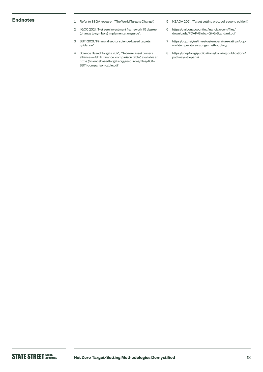- Endnotes **1** Refer to SSGA research "The World Targets Change".
	- 2 IIGCC 2021, "Net zero investment framework 1.5 degree (change to symbols) implementation guide".
	- 3 SBTi 2021, "Financial sector science-based targets guidance".
	- 4 Science Based Targets 2021, "Net-zero asset owners alliance — SBTi Finance: comparison table", available at: [https://sciencebasedtargets.org/resources/files/AOA-](https://sciencebasedtargets.org/resources/files/AOA-SBTi-comparison-table.pdf)[SBTi-comparison-table.pdf](https://sciencebasedtargets.org/resources/files/AOA-SBTi-comparison-table.pdf)
- 5 NZAOA 2021, "Target setting protocol, second edition".
- 6 [https://carbonaccountingfinancials.com/files/](https://carbonaccountingfinancials.com/files/downloads/PCAF-Global-GHG-Standard.pdf) [downloads/PCAF-Global-GHG-Standard.pdf](https://carbonaccountingfinancials.com/files/downloads/PCAF-Global-GHG-Standard.pdf)
- 7 [https://cdp.net/en/investor/temperature-ratings/cdp](https://cdp.net/en/investor/temperature-ratings/cdp-wwf-temperature-ratings-methodology)[wwf-temperature-ratings-methodology](https://cdp.net/en/investor/temperature-ratings/cdp-wwf-temperature-ratings-methodology)
- 8 [https://unepfi.org/publications/banking-publications/](https://unepfi.org/publications/banking-publications/pathways-to-paris/) [pathways-to-paris/](https://unepfi.org/publications/banking-publications/pathways-to-paris/)